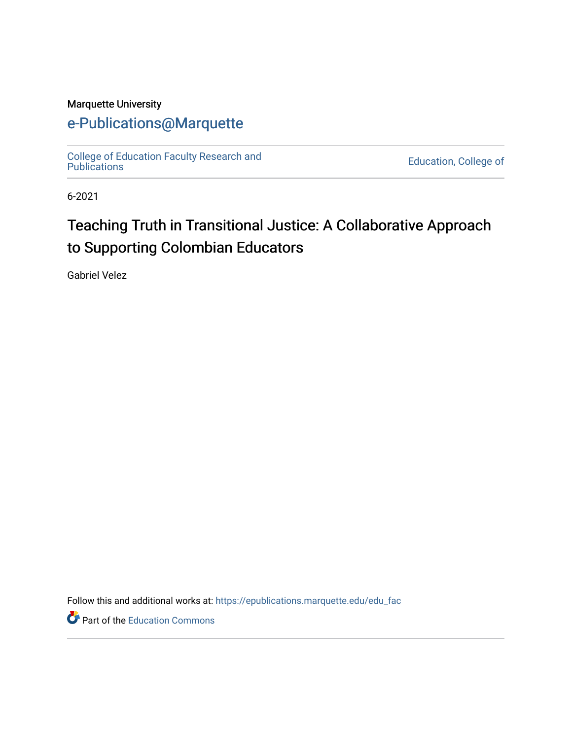## Marquette University

## [e-Publications@Marquette](https://epublications.marquette.edu/)

[College of Education Faculty Research and](https://epublications.marquette.edu/edu_fac)  [Publications](https://epublications.marquette.edu/edu_fac) [Education, College of](https://epublications.marquette.edu/education) 

6-2021

# Teaching Truth in Transitional Justice: A Collaborative Approach to Supporting Colombian Educators

Gabriel Velez

Follow this and additional works at: [https://epublications.marquette.edu/edu\\_fac](https://epublications.marquette.edu/edu_fac?utm_source=epublications.marquette.edu%2Fedu_fac%2F565&utm_medium=PDF&utm_campaign=PDFCoverPages) 

Part of the [Education Commons](http://network.bepress.com/hgg/discipline/784?utm_source=epublications.marquette.edu%2Fedu_fac%2F565&utm_medium=PDF&utm_campaign=PDFCoverPages)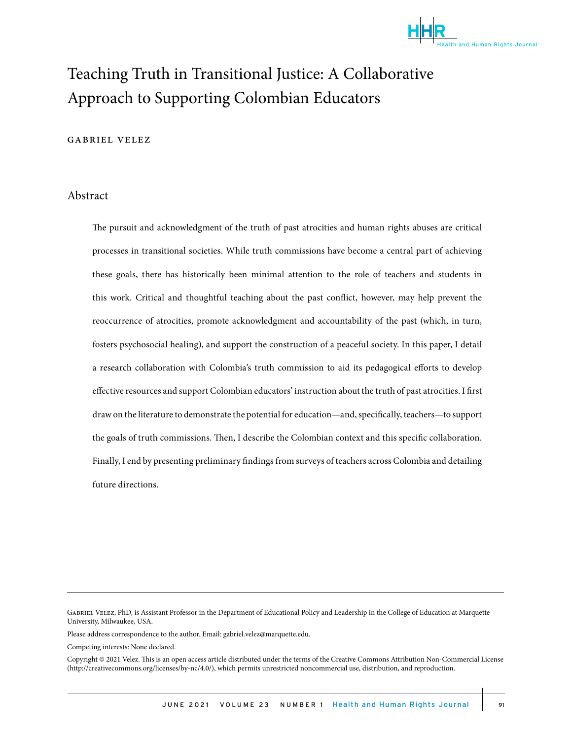

# Teaching Truth in Transitional Justice: A Collaborative. Approach to Supporting Colombian Educators

#### gabriel velez

#### Abstract

The pursuit and acknowledgment of the truth of past atrocities and human rights abuses are critical processes in transitional societies. While truth commissions have become a central part of achieving these goals, there has historically been minimal attention to the role of teachers and students in this work. Critical and thoughtful teaching about the past conflict, however, may help prevent the reoccurrence of atrocities, promote acknowledgment and accountability of the past (which, in turn, fosters psychosocial healing), and support the construction of a peaceful society. In this paper, I detail a research collaboration with Colombia's truth commission to aid its pedagogical efforts to develop effective resources and support Colombian educators' instruction about the truth of past atrocities. I first draw on the literature to demonstrate the potential for education—and, specifically, teachers—to support the goals of truth commissions. Then, I describe the Colombian context and this specific collaboration. Finally, I end by presenting preliminary findings from surveys of teachers across Colombia and detailing future directions.

Gabriel Velez, PhD, is Assistant Professor in the Department of Educational Policy and Leadership in the College of Education at Marquette University, Milwaukee, USA.

Please address correspondence to the author. Email: gabriel.velez@marquette.edu.

Competing interests: None declared.

Copyright © 2021 Velez. This is an open access article distributed under the terms of the Creative Commons Attribution Non-Commercial License (http://creativecommons.org/licenses/by-nc/4.0/), which permits unrestricted noncommercial use, distribution, and reproduction.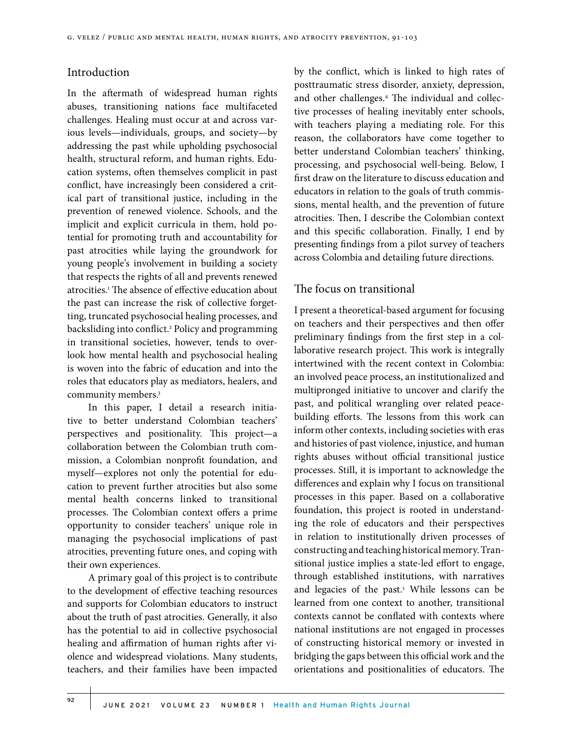### Introduction

In the aftermath of widespread human rights abuses, transitioning nations face multifaceted challenges. Healing must occur at and across various levels—individuals, groups, and society—by addressing the past while upholding psychosocial health, structural reform, and human rights. Education systems, often themselves complicit in past conflict, have increasingly been considered a critical part of transitional justice, including in the prevention of renewed violence. Schools, and the implicit and explicit curricula in them, hold potential for promoting truth and accountability for past atrocities while laying the groundwork for young people's involvement in building a society that respects the rights of all and prevents renewed atrocities.1 The absence of effective education about the past can increase the risk of collective forgetting, truncated psychosocial healing processes, and backsliding into conflict.<sup>2</sup> Policy and programming in transitional societies, however, tends to overlook how mental health and psychosocial healing is woven into the fabric of education and into the roles that educators play as mediators, healers, and community members.3

In this paper, I detail a research initiative to better understand Colombian teachers' perspectives and positionality. This project—a collaboration between the Colombian truth commission, a Colombian nonprofit foundation, and myself—explores not only the potential for education to prevent further atrocities but also some mental health concerns linked to transitional processes. The Colombian context offers a prime opportunity to consider teachers' unique role in managing the psychosocial implications of past atrocities, preventing future ones, and coping with their own experiences.

A primary goal of this project is to contribute to the development of effective teaching resources and supports for Colombian educators to instruct about the truth of past atrocities. Generally, it also has the potential to aid in collective psychosocial healing and affirmation of human rights after violence and widespread violations. Many students, teachers, and their families have been impacted by the conflict, which is linked to high rates of posttraumatic stress disorder, anxiety, depression, and other challenges.4 The individual and collective processes of healing inevitably enter schools, with teachers playing a mediating role. For this reason, the collaborators have come together to better understand Colombian teachers' thinking, processing, and psychosocial well-being. Below, I first draw on the literature to discuss education and educators in relation to the goals of truth commissions, mental health, and the prevention of future atrocities. Then, I describe the Colombian context and this specific collaboration. Finally, I end by presenting findings from a pilot survey of teachers across Colombia and detailing future directions.

## The focus on transitional

I present a theoretical-based argument for focusing on teachers and their perspectives and then offer preliminary findings from the first step in a collaborative research project. This work is integrally intertwined with the recent context in Colombia: an involved peace process, an institutionalized and multipronged initiative to uncover and clarify the past, and political wrangling over related peacebuilding efforts. The lessons from this work can inform other contexts, including societies with eras and histories of past violence, injustice, and human rights abuses without official transitional justice processes. Still, it is important to acknowledge the differences and explain why I focus on transitional processes in this paper. Based on a collaborative foundation, this project is rooted in understanding the role of educators and their perspectives in relation to institutionally driven processes of constructing and teaching historical memory. Transitional justice implies a state-led effort to engage, through established institutions, with narratives and legacies of the past.<sup>5</sup> While lessons can be learned from one context to another, transitional contexts cannot be conflated with contexts where national institutions are not engaged in processes of constructing historical memory or invested in bridging the gaps between this official work and the orientations and positionalities of educators. The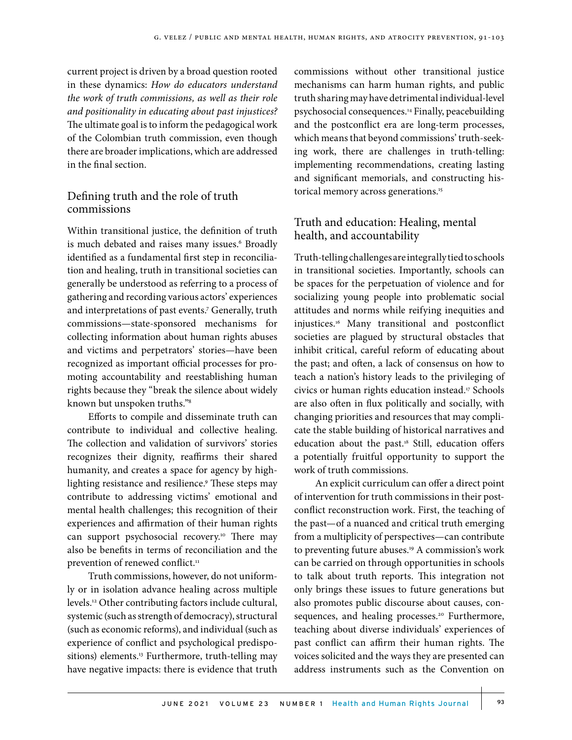current project is driven by a broad question rooted in these dynamics: *How do educators understand the work of truth commissions, as well as their role and positionality in educating about past injustices?*  The ultimate goal is to inform the pedagogical work of the Colombian truth commission, even though there are broader implications, which are addressed in the final section.

## Defining truth and the role of truth commissions

Within transitional justice, the definition of truth is much debated and raises many issues.<sup>6</sup> Broadly identified as a fundamental first step in reconciliation and healing, truth in transitional societies can generally be understood as referring to a process of gathering and recording various actors' experiences and interpretations of past events.7 Generally, truth commissions—state-sponsored mechanisms for collecting information about human rights abuses and victims and perpetrators' stories—have been recognized as important official processes for promoting accountability and reestablishing human rights because they "break the silence about widely known but unspoken truths."8

Efforts to compile and disseminate truth can contribute to individual and collective healing. The collection and validation of survivors' stories recognizes their dignity, reaffirms their shared humanity, and creates a space for agency by highlighting resistance and resilience.9 These steps may contribute to addressing victims' emotional and mental health challenges; this recognition of their experiences and affirmation of their human rights can support psychosocial recovery.<sup>10</sup> There may also be benefits in terms of reconciliation and the prevention of renewed conflict.<sup>11</sup>

Truth commissions, however, do not uniformly or in isolation advance healing across multiple levels.12 Other contributing factors include cultural, systemic (such as strength of democracy), structural (such as economic reforms), and individual (such as experience of conflict and psychological predispositions) elements.<sup>13</sup> Furthermore, truth-telling may have negative impacts: there is evidence that truth commissions without other transitional justice mechanisms can harm human rights, and public truth sharing may have detrimental individual-level psychosocial consequences.14 Finally, peacebuilding and the postconflict era are long-term processes, which means that beyond commissions' truth-seeking work, there are challenges in truth-telling: implementing recommendations, creating lasting and significant memorials, and constructing historical memory across generations.<sup>15</sup>

## Truth and education: Healing, mental health, and accountability

Truth-telling challenges are integrally tied to schools in transitional societies. Importantly, schools can be spaces for the perpetuation of violence and for socializing young people into problematic social attitudes and norms while reifying inequities and injustices.16 Many transitional and postconflict societies are plagued by structural obstacles that inhibit critical, careful reform of educating about the past; and often, a lack of consensus on how to teach a nation's history leads to the privileging of civics or human rights education instead.17 Schools are also often in flux politically and socially, with changing priorities and resources that may complicate the stable building of historical narratives and education about the past.<sup>18</sup> Still, education offers a potentially fruitful opportunity to support the work of truth commissions.

An explicit curriculum can offer a direct point of intervention for truth commissions in their postconflict reconstruction work. First, the teaching of the past—of a nuanced and critical truth emerging from a multiplicity of perspectives—can contribute to preventing future abuses.<sup>19</sup> A commission's work can be carried on through opportunities in schools to talk about truth reports. This integration not only brings these issues to future generations but also promotes public discourse about causes, consequences, and healing processes.<sup>20</sup> Furthermore, teaching about diverse individuals' experiences of past conflict can affirm their human rights. The voices solicited and the ways they are presented can address instruments such as the Convention on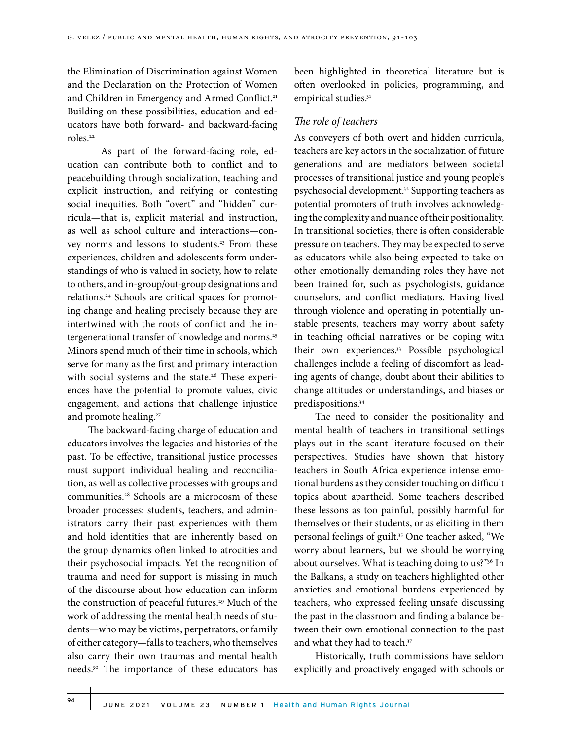the Elimination of Discrimination against Women and the Declaration on the Protection of Women and Children in Emergency and Armed Conflict.<sup>21</sup> Building on these possibilities, education and educators have both forward- and backward-facing roles.22

As part of the forward-facing role, education can contribute both to conflict and to peacebuilding through socialization, teaching and explicit instruction, and reifying or contesting social inequities. Both "overt" and "hidden" curricula—that is, explicit material and instruction, as well as school culture and interactions—convey norms and lessons to students.<sup>23</sup> From these experiences, children and adolescents form understandings of who is valued in society, how to relate to others, and in-group/out-group designations and relations.24 Schools are critical spaces for promoting change and healing precisely because they are intertwined with the roots of conflict and the intergenerational transfer of knowledge and norms.<sup>25</sup> Minors spend much of their time in schools, which serve for many as the first and primary interaction with social systems and the state.<sup>26</sup> These experiences have the potential to promote values, civic engagement, and actions that challenge injustice and promote healing.<sup>27</sup>

The backward-facing charge of education and educators involves the legacies and histories of the past. To be effective, transitional justice processes must support individual healing and reconciliation, as well as collective processes with groups and communities.28 Schools are a microcosm of these broader processes: students, teachers, and administrators carry their past experiences with them and hold identities that are inherently based on the group dynamics often linked to atrocities and their psychosocial impacts. Yet the recognition of trauma and need for support is missing in much of the discourse about how education can inform the construction of peaceful futures.<sup>29</sup> Much of the work of addressing the mental health needs of students—who may be victims, perpetrators, or family of either category—falls to teachers, who themselves also carry their own traumas and mental health needs.30 The importance of these educators has

been highlighted in theoretical literature but is often overlooked in policies, programming, and empirical studies.<sup>31</sup>

#### *The role of teachers*

As conveyers of both overt and hidden curricula, teachers are key actors in the socialization of future generations and are mediators between societal processes of transitional justice and young people's psychosocial development.32 Supporting teachers as potential promoters of truth involves acknowledging the complexity and nuance of their positionality. In transitional societies, there is often considerable pressure on teachers. They may be expected to serve as educators while also being expected to take on other emotionally demanding roles they have not been trained for, such as psychologists, guidance counselors, and conflict mediators. Having lived through violence and operating in potentially unstable presents, teachers may worry about safety in teaching official narratives or be coping with their own experiences.33 Possible psychological challenges include a feeling of discomfort as leading agents of change, doubt about their abilities to change attitudes or understandings, and biases or predispositions.34

The need to consider the positionality and mental health of teachers in transitional settings plays out in the scant literature focused on their perspectives. Studies have shown that history teachers in South Africa experience intense emotional burdens as they consider touching on difficult topics about apartheid. Some teachers described these lessons as too painful, possibly harmful for themselves or their students, or as eliciting in them personal feelings of guilt.35 One teacher asked, "We worry about learners, but we should be worrying about ourselves. What is teaching doing to us?"36 In the Balkans, a study on teachers highlighted other anxieties and emotional burdens experienced by teachers, who expressed feeling unsafe discussing the past in the classroom and finding a balance between their own emotional connection to the past and what they had to teach.<sup>37</sup>

Historically, truth commissions have seldom explicitly and proactively engaged with schools or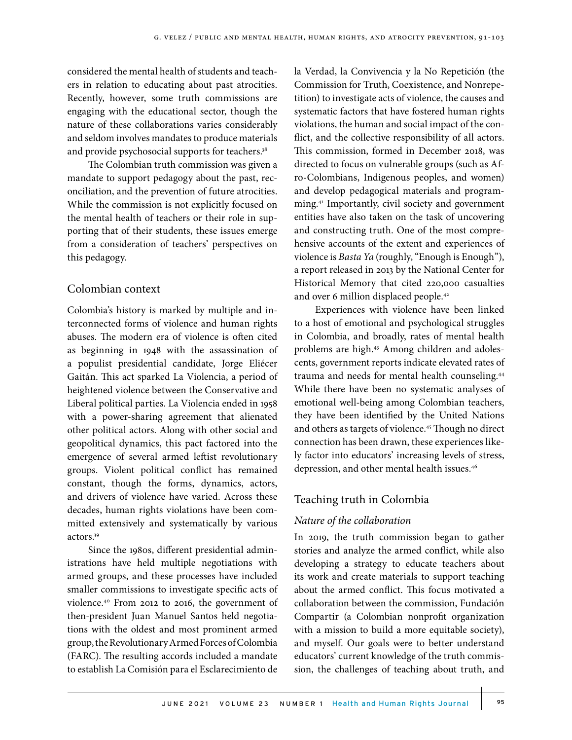considered the mental health of students and teachers in relation to educating about past atrocities. Recently, however, some truth commissions are engaging with the educational sector, though the nature of these collaborations varies considerably and seldom involves mandates to produce materials and provide psychosocial supports for teachers.<sup>38</sup>

The Colombian truth commission was given a mandate to support pedagogy about the past, reconciliation, and the prevention of future atrocities. While the commission is not explicitly focused on the mental health of teachers or their role in supporting that of their students, these issues emerge from a consideration of teachers' perspectives on this pedagogy.

## Colombian context

Colombia's history is marked by multiple and interconnected forms of violence and human rights abuses. The modern era of violence is often cited as beginning in 1948 with the assassination of a populist presidential candidate, Jorge Eliécer Gaitán. This act sparked La Violencia, a period of heightened violence between the Conservative and Liberal political parties. La Violencia ended in 1958 with a power-sharing agreement that alienated other political actors. Along with other social and geopolitical dynamics, this pact factored into the emergence of several armed leftist revolutionary groups. Violent political conflict has remained constant, though the forms, dynamics, actors, and drivers of violence have varied. Across these decades, human rights violations have been committed extensively and systematically by various actors.39

Since the 1980s, different presidential administrations have held multiple negotiations with armed groups, and these processes have included smaller commissions to investigate specific acts of violence.40 From 2012 to 2016, the government of then-president Juan Manuel Santos held negotiations with the oldest and most prominent armed group, the Revolutionary Armed Forces of Colombia (FARC). The resulting accords included a mandate to establish La Comisión para el Esclarecimiento de

la Verdad, la Convivencia y la No Repetición (the Commission for Truth, Coexistence, and Nonrepetition) to investigate acts of violence, the causes and systematic factors that have fostered human rights violations, the human and social impact of the conflict, and the collective responsibility of all actors. This commission, formed in December 2018, was directed to focus on vulnerable groups (such as Afro-Colombians, Indigenous peoples, and women) and develop pedagogical materials and programming.41 Importantly, civil society and government entities have also taken on the task of uncovering and constructing truth. One of the most comprehensive accounts of the extent and experiences of violence is *Basta Ya* (roughly, "Enough is Enough"), a report released in 2013 by the National Center for Historical Memory that cited 220,000 casualties and over 6 million displaced people.42

Experiences with violence have been linked to a host of emotional and psychological struggles in Colombia, and broadly, rates of mental health problems are high.43 Among children and adolescents, government reports indicate elevated rates of trauma and needs for mental health counseling.44 While there have been no systematic analyses of emotional well-being among Colombian teachers, they have been identified by the United Nations and others as targets of violence.45 Though no direct connection has been drawn, these experiences likely factor into educators' increasing levels of stress, depression, and other mental health issues.46

## Teaching truth in Colombia

## *Nature of the collaboration*

In 2019, the truth commission began to gather stories and analyze the armed conflict, while also developing a strategy to educate teachers about its work and create materials to support teaching about the armed conflict. This focus motivated a collaboration between the commission, Fundación Compartir (a Colombian nonprofit organization with a mission to build a more equitable society), and myself. Our goals were to better understand educators' current knowledge of the truth commission, the challenges of teaching about truth, and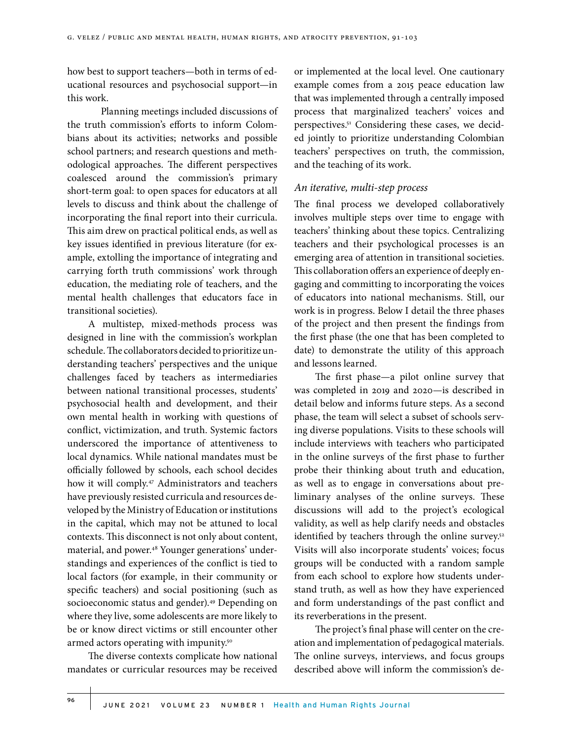how best to support teachers—both in terms of educational resources and psychosocial support—in this work.

Planning meetings included discussions of the truth commission's efforts to inform Colombians about its activities; networks and possible school partners; and research questions and methodological approaches. The different perspectives coalesced around the commission's primary short-term goal: to open spaces for educators at all levels to discuss and think about the challenge of incorporating the final report into their curricula. This aim drew on practical political ends, as well as key issues identified in previous literature (for example, extolling the importance of integrating and carrying forth truth commissions' work through education, the mediating role of teachers, and the mental health challenges that educators face in transitional societies).

A multistep, mixed-methods process was designed in line with the commission's workplan schedule. The collaborators decided to prioritize understanding teachers' perspectives and the unique challenges faced by teachers as intermediaries between national transitional processes, students' psychosocial health and development, and their own mental health in working with questions of conflict, victimization, and truth. Systemic factors underscored the importance of attentiveness to local dynamics. While national mandates must be officially followed by schools, each school decides how it will comply.47 Administrators and teachers have previously resisted curricula and resources developed by the Ministry of Education or institutions in the capital, which may not be attuned to local contexts. This disconnect is not only about content, material, and power.<sup>48</sup> Younger generations' understandings and experiences of the conflict is tied to local factors (for example, in their community or specific teachers) and social positioning (such as socioeconomic status and gender).<sup>49</sup> Depending on where they live, some adolescents are more likely to be or know direct victims or still encounter other armed actors operating with impunity.<sup>50</sup>

The diverse contexts complicate how national mandates or curricular resources may be received or implemented at the local level. One cautionary example comes from a 2015 peace education law that was implemented through a centrally imposed process that marginalized teachers' voices and perspectives.51 Considering these cases, we decided jointly to prioritize understanding Colombian teachers' perspectives on truth, the commission, and the teaching of its work.

#### *An iterative, multi-step process*

The final process we developed collaboratively involves multiple steps over time to engage with teachers' thinking about these topics. Centralizing teachers and their psychological processes is an emerging area of attention in transitional societies. This collaboration offers an experience of deeply engaging and committing to incorporating the voices of educators into national mechanisms. Still, our work is in progress. Below I detail the three phases of the project and then present the findings from the first phase (the one that has been completed to date) to demonstrate the utility of this approach and lessons learned.

The first phase—a pilot online survey that was completed in 2019 and 2020—is described in detail below and informs future steps. As a second phase, the team will select a subset of schools serving diverse populations. Visits to these schools will include interviews with teachers who participated in the online surveys of the first phase to further probe their thinking about truth and education, as well as to engage in conversations about preliminary analyses of the online surveys. These discussions will add to the project's ecological validity, as well as help clarify needs and obstacles identified by teachers through the online survey.<sup>52</sup> Visits will also incorporate students' voices; focus groups will be conducted with a random sample from each school to explore how students understand truth, as well as how they have experienced and form understandings of the past conflict and its reverberations in the present.

The project's final phase will center on the creation and implementation of pedagogical materials. The online surveys, interviews, and focus groups described above will inform the commission's de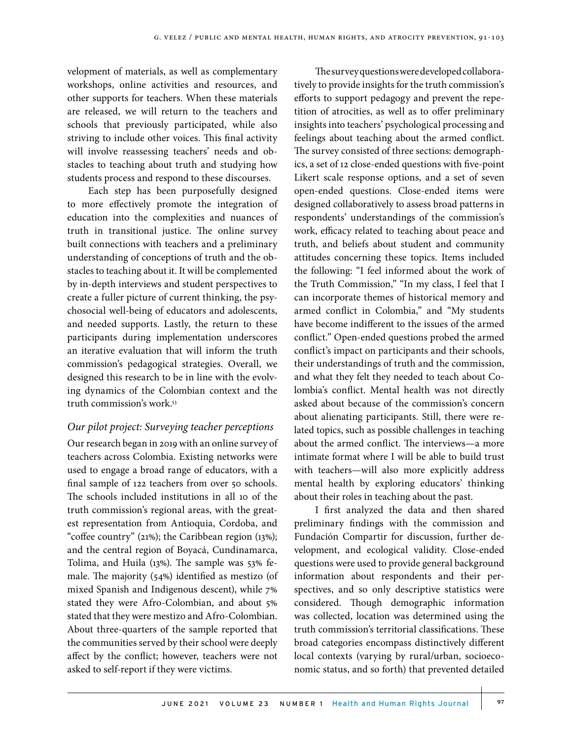velopment of materials, as well as complementary workshops, online activities and resources, and other supports for teachers. When these materials are released, we will return to the teachers and schools that previously participated, while also striving to include other voices. This final activity will involve reassessing teachers' needs and obstacles to teaching about truth and studying how students process and respond to these discourses.

Each step has been purposefully designed to more effectively promote the integration of education into the complexities and nuances of truth in transitional justice. The online survey built connections with teachers and a preliminary understanding of conceptions of truth and the obstacles to teaching about it. It will be complemented by in-depth interviews and student perspectives to create a fuller picture of current thinking, the psychosocial well-being of educators and adolescents, and needed supports. Lastly, the return to these participants during implementation underscores an iterative evaluation that will inform the truth commission's pedagogical strategies. Overall, we designed this research to be in line with the evolving dynamics of the Colombian context and the truth commission's work.53

#### *Our pilot project: Surveying teacher perceptions*

Our research began in 2019 with an online survey of teachers across Colombia. Existing networks were used to engage a broad range of educators, with a final sample of 122 teachers from over 50 schools. The schools included institutions in all 10 of the truth commission's regional areas, with the greatest representation from Antioquia, Cordoba, and "coffee country" (21%); the Caribbean region (13%); and the central region of Boyacá, Cundinamarca, Tolima, and Huila (13%). The sample was 53% female. The majority (54%) identified as mestizo (of mixed Spanish and Indigenous descent), while 7% stated they were Afro-Colombian, and about 5% stated that they were mestizo and Afro-Colombian. About three-quarters of the sample reported that the communities served by their school were deeply affect by the conflict; however, teachers were not asked to self-report if they were victims.

The survey questions were developed collaboratively to provide insights for the truth commission's efforts to support pedagogy and prevent the repetition of atrocities, as well as to offer preliminary insights into teachers' psychological processing and feelings about teaching about the armed conflict. The survey consisted of three sections: demographics, a set of 12 close-ended questions with five-point Likert scale response options, and a set of seven open-ended questions. Close-ended items were designed collaboratively to assess broad patterns in respondents' understandings of the commission's work, efficacy related to teaching about peace and truth, and beliefs about student and community attitudes concerning these topics. Items included the following: "I feel informed about the work of the Truth Commission," "In my class, I feel that I can incorporate themes of historical memory and armed conflict in Colombia," and "My students have become indifferent to the issues of the armed conflict." Open-ended questions probed the armed conflict's impact on participants and their schools, their understandings of truth and the commission, and what they felt they needed to teach about Colombia's conflict. Mental health was not directly asked about because of the commission's concern about alienating participants. Still, there were related topics, such as possible challenges in teaching about the armed conflict. The interviews—a more intimate format where I will be able to build trust with teachers—will also more explicitly address mental health by exploring educators' thinking about their roles in teaching about the past.

I first analyzed the data and then shared preliminary findings with the commission and Fundación Compartir for discussion, further development, and ecological validity. Close-ended questions were used to provide general background information about respondents and their perspectives, and so only descriptive statistics were considered. Though demographic information was collected, location was determined using the truth commission's territorial classifications. These broad categories encompass distinctively different local contexts (varying by rural/urban, socioeconomic status, and so forth) that prevented detailed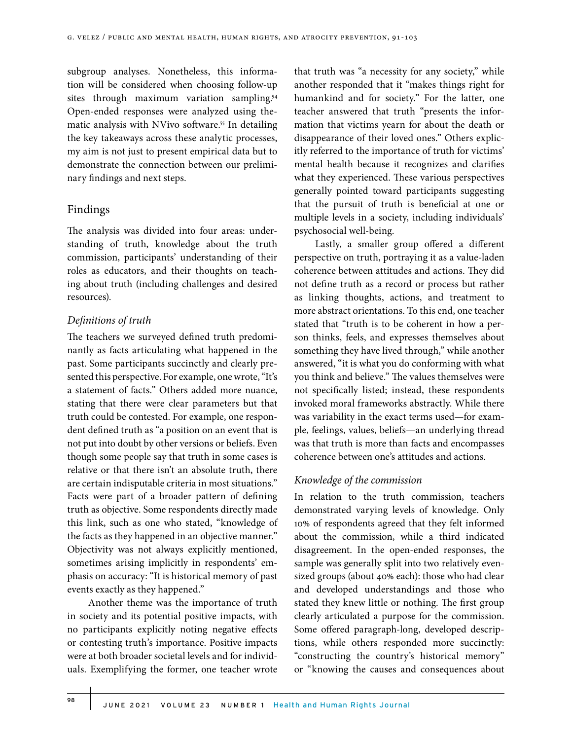subgroup analyses. Nonetheless, this information will be considered when choosing follow-up sites through maximum variation sampling.<sup>54</sup> Open-ended responses were analyzed using thematic analysis with NVivo software.<sup>55</sup> In detailing the key takeaways across these analytic processes, my aim is not just to present empirical data but to demonstrate the connection between our preliminary findings and next steps.

### Findings

The analysis was divided into four areas: understanding of truth, knowledge about the truth commission, participants' understanding of their roles as educators, and their thoughts on teaching about truth (including challenges and desired resources).

### *Definitions of truth*

The teachers we surveyed defined truth predominantly as facts articulating what happened in the past. Some participants succinctly and clearly presented this perspective. For example, one wrote, "It's a statement of facts." Others added more nuance, stating that there were clear parameters but that truth could be contested. For example, one respondent defined truth as "a position on an event that is not put into doubt by other versions or beliefs. Even though some people say that truth in some cases is relative or that there isn't an absolute truth, there are certain indisputable criteria in most situations." Facts were part of a broader pattern of defining truth as objective. Some respondents directly made this link, such as one who stated, "knowledge of the facts as they happened in an objective manner." Objectivity was not always explicitly mentioned, sometimes arising implicitly in respondents' emphasis on accuracy: "It is historical memory of past events exactly as they happened."

Another theme was the importance of truth in society and its potential positive impacts, with no participants explicitly noting negative effects or contesting truth's importance. Positive impacts were at both broader societal levels and for individuals. Exemplifying the former, one teacher wrote

that truth was "a necessity for any society," while another responded that it "makes things right for humankind and for society." For the latter, one teacher answered that truth "presents the information that victims yearn for about the death or disappearance of their loved ones." Others explicitly referred to the importance of truth for victims' mental health because it recognizes and clarifies what they experienced. These various perspectives generally pointed toward participants suggesting that the pursuit of truth is beneficial at one or multiple levels in a society, including individuals' psychosocial well-being.

Lastly, a smaller group offered a different perspective on truth, portraying it as a value-laden coherence between attitudes and actions. They did not define truth as a record or process but rather as linking thoughts, actions, and treatment to more abstract orientations. To this end, one teacher stated that "truth is to be coherent in how a person thinks, feels, and expresses themselves about something they have lived through," while another answered, "it is what you do conforming with what you think and believe." The values themselves were not specifically listed; instead, these respondents invoked moral frameworks abstractly. While there was variability in the exact terms used—for example, feelings, values, beliefs—an underlying thread was that truth is more than facts and encompasses coherence between one's attitudes and actions.

#### *Knowledge of the commission*

In relation to the truth commission, teachers demonstrated varying levels of knowledge. Only 10% of respondents agreed that they felt informed about the commission, while a third indicated disagreement. In the open-ended responses, the sample was generally split into two relatively evensized groups (about 40% each): those who had clear and developed understandings and those who stated they knew little or nothing. The first group clearly articulated a purpose for the commission. Some offered paragraph-long, developed descriptions, while others responded more succinctly: "constructing the country's historical memory" or "knowing the causes and consequences about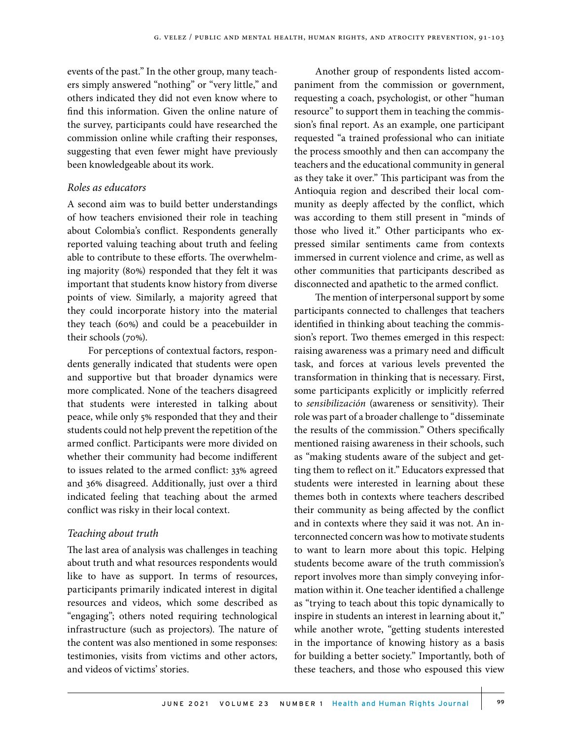events of the past." In the other group, many teachers simply answered "nothing" or "very little," and others indicated they did not even know where to find this information. Given the online nature of the survey, participants could have researched the commission online while crafting their responses, suggesting that even fewer might have previously been knowledgeable about its work.

#### *Roles as educators*

A second aim was to build better understandings of how teachers envisioned their role in teaching about Colombia's conflict. Respondents generally reported valuing teaching about truth and feeling able to contribute to these efforts. The overwhelming majority (80%) responded that they felt it was important that students know history from diverse points of view. Similarly, a majority agreed that they could incorporate history into the material they teach (60%) and could be a peacebuilder in their schools (70%).

For perceptions of contextual factors, respondents generally indicated that students were open and supportive but that broader dynamics were more complicated. None of the teachers disagreed that students were interested in talking about peace, while only 5% responded that they and their students could not help prevent the repetition of the armed conflict. Participants were more divided on whether their community had become indifferent to issues related to the armed conflict: 33% agreed and 36% disagreed. Additionally, just over a third indicated feeling that teaching about the armed conflict was risky in their local context.

#### *Teaching about truth*

The last area of analysis was challenges in teaching about truth and what resources respondents would like to have as support. In terms of resources, participants primarily indicated interest in digital resources and videos, which some described as "engaging"; others noted requiring technological infrastructure (such as projectors). The nature of the content was also mentioned in some responses: testimonies, visits from victims and other actors, and videos of victims' stories.

Another group of respondents listed accompaniment from the commission or government, requesting a coach, psychologist, or other "human resource" to support them in teaching the commission's final report. As an example, one participant requested "a trained professional who can initiate the process smoothly and then can accompany the teachers and the educational community in general as they take it over." This participant was from the Antioquia region and described their local community as deeply affected by the conflict, which was according to them still present in "minds of those who lived it." Other participants who expressed similar sentiments came from contexts immersed in current violence and crime, as well as other communities that participants described as disconnected and apathetic to the armed conflict.

The mention of interpersonal support by some participants connected to challenges that teachers identified in thinking about teaching the commission's report. Two themes emerged in this respect: raising awareness was a primary need and difficult task, and forces at various levels prevented the transformation in thinking that is necessary. First, some participants explicitly or implicitly referred to *sensibilización* (awareness or sensitivity). Their role was part of a broader challenge to "disseminate the results of the commission." Others specifically mentioned raising awareness in their schools, such as "making students aware of the subject and getting them to reflect on it." Educators expressed that students were interested in learning about these themes both in contexts where teachers described their community as being affected by the conflict and in contexts where they said it was not. An interconnected concern was how to motivate students to want to learn more about this topic. Helping students become aware of the truth commission's report involves more than simply conveying information within it. One teacher identified a challenge as "trying to teach about this topic dynamically to inspire in students an interest in learning about it," while another wrote, "getting students interested in the importance of knowing history as a basis for building a better society." Importantly, both of these teachers, and those who espoused this view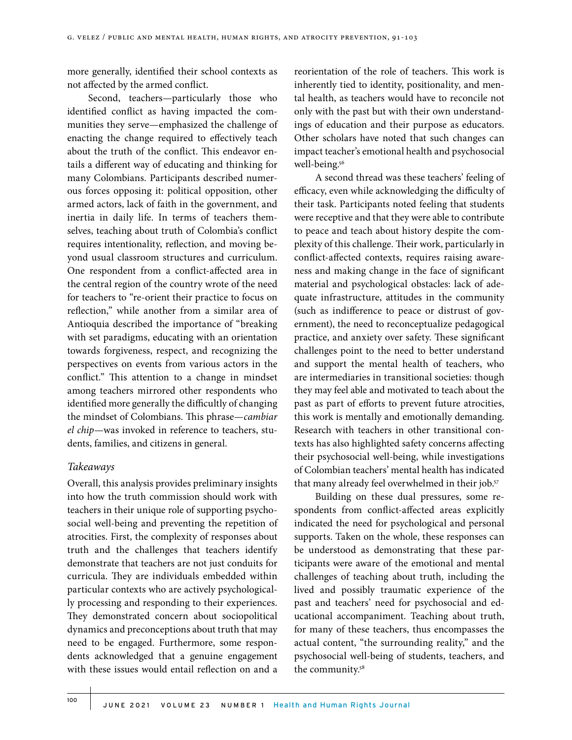more generally, identified their school contexts as not affected by the armed conflict.

Second, teachers—particularly those who identified conflict as having impacted the communities they serve—emphasized the challenge of enacting the change required to effectively teach about the truth of the conflict. This endeavor entails a different way of educating and thinking for many Colombians. Participants described numerous forces opposing it: political opposition, other armed actors, lack of faith in the government, and inertia in daily life. In terms of teachers themselves, teaching about truth of Colombia's conflict requires intentionality, reflection, and moving beyond usual classroom structures and curriculum. One respondent from a conflict-affected area in the central region of the country wrote of the need for teachers to "re-orient their practice to focus on reflection," while another from a similar area of Antioquia described the importance of "breaking with set paradigms, educating with an orientation towards forgiveness, respect, and recognizing the perspectives on events from various actors in the conflict." This attention to a change in mindset among teachers mirrored other respondents who identified more generally the difficultly of changing the mindset of Colombians. This phrase—*cambiar el chip*—was invoked in reference to teachers, students, families, and citizens in general.

#### *Takeaways*

Overall, this analysis provides preliminary insights into how the truth commission should work with teachers in their unique role of supporting psychosocial well-being and preventing the repetition of atrocities. First, the complexity of responses about truth and the challenges that teachers identify demonstrate that teachers are not just conduits for curricula. They are individuals embedded within particular contexts who are actively psychologically processing and responding to their experiences. They demonstrated concern about sociopolitical dynamics and preconceptions about truth that may need to be engaged. Furthermore, some respondents acknowledged that a genuine engagement with these issues would entail reflection on and a

reorientation of the role of teachers. This work is inherently tied to identity, positionality, and mental health, as teachers would have to reconcile not only with the past but with their own understandings of education and their purpose as educators. Other scholars have noted that such changes can impact teacher's emotional health and psychosocial well-being.<sup>56</sup>

A second thread was these teachers' feeling of efficacy, even while acknowledging the difficulty of their task. Participants noted feeling that students were receptive and that they were able to contribute to peace and teach about history despite the complexity of this challenge. Their work, particularly in conflict-affected contexts, requires raising awareness and making change in the face of significant material and psychological obstacles: lack of adequate infrastructure, attitudes in the community (such as indifference to peace or distrust of government), the need to reconceptualize pedagogical practice, and anxiety over safety. These significant challenges point to the need to better understand and support the mental health of teachers, who are intermediaries in transitional societies: though they may feel able and motivated to teach about the past as part of efforts to prevent future atrocities, this work is mentally and emotionally demanding. Research with teachers in other transitional contexts has also highlighted safety concerns affecting their psychosocial well-being, while investigations of Colombian teachers' mental health has indicated that many already feel overwhelmed in their job.<sup>57</sup>

Building on these dual pressures, some respondents from conflict-affected areas explicitly indicated the need for psychological and personal supports. Taken on the whole, these responses can be understood as demonstrating that these participants were aware of the emotional and mental challenges of teaching about truth, including the lived and possibly traumatic experience of the past and teachers' need for psychosocial and educational accompaniment. Teaching about truth, for many of these teachers, thus encompasses the actual content, "the surrounding reality," and the psychosocial well-being of students, teachers, and the community.58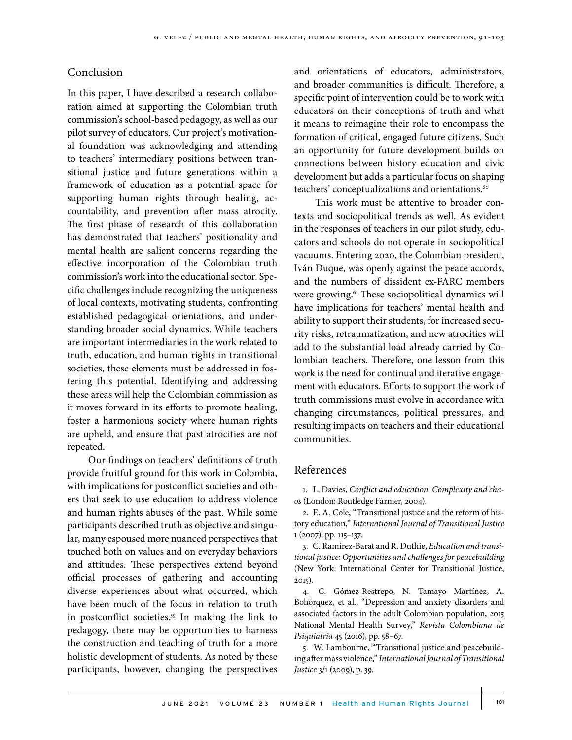## Conclusion

In this paper, I have described a research collaboration aimed at supporting the Colombian truth commission's school-based pedagogy, as well as our pilot survey of educators. Our project's motivational foundation was acknowledging and attending to teachers' intermediary positions between transitional justice and future generations within a framework of education as a potential space for supporting human rights through healing, accountability, and prevention after mass atrocity. The first phase of research of this collaboration has demonstrated that teachers' positionality and mental health are salient concerns regarding the effective incorporation of the Colombian truth commission's work into the educational sector. Specific challenges include recognizing the uniqueness of local contexts, motivating students, confronting established pedagogical orientations, and understanding broader social dynamics. While teachers are important intermediaries in the work related to truth, education, and human rights in transitional societies, these elements must be addressed in fostering this potential. Identifying and addressing these areas will help the Colombian commission as it moves forward in its efforts to promote healing, foster a harmonious society where human rights are upheld, and ensure that past atrocities are not repeated.

Our findings on teachers' definitions of truth provide fruitful ground for this work in Colombia, with implications for postconflict societies and others that seek to use education to address violence and human rights abuses of the past. While some participants described truth as objective and singular, many espoused more nuanced perspectives that touched both on values and on everyday behaviors and attitudes. These perspectives extend beyond official processes of gathering and accounting diverse experiences about what occurred, which have been much of the focus in relation to truth in postconflict societies.59 In making the link to pedagogy, there may be opportunities to harness the construction and teaching of truth for a more holistic development of students. As noted by these participants, however, changing the perspectives

and orientations of educators, administrators, and broader communities is difficult. Therefore, a specific point of intervention could be to work with educators on their conceptions of truth and what it means to reimagine their role to encompass the formation of critical, engaged future citizens. Such an opportunity for future development builds on connections between history education and civic development but adds a particular focus on shaping teachers' conceptualizations and orientations.<sup>60</sup>

This work must be attentive to broader contexts and sociopolitical trends as well. As evident in the responses of teachers in our pilot study, educators and schools do not operate in sociopolitical vacuums. Entering 2020, the Colombian president, Iván Duque, was openly against the peace accords, and the numbers of dissident ex-FARC members were growing.<sup>61</sup> These sociopolitical dynamics will have implications for teachers' mental health and ability to support their students, for increased security risks, retraumatization, and new atrocities will add to the substantial load already carried by Colombian teachers. Therefore, one lesson from this work is the need for continual and iterative engagement with educators. Efforts to support the work of truth commissions must evolve in accordance with changing circumstances, political pressures, and resulting impacts on teachers and their educational communities.

#### References

1. L. Davies, *Conflict and education: Complexity and chaos* (London: Routledge Farmer, 2004).

2. E. A. Cole, "Transitional justice and the reform of history education," *International Journal of Transitional Justice* 1 (2007), pp. 115–137.

3. C. Ramírez-Barat and R. Duthie, *Education and transitional justice: Opportunities and challenges for peacebuilding* (New York: International Center for Transitional Justice, 2015).

4. C. Gómez-Restrepo, N. Tamayo Martínez, A. Bohórquez, et al., "Depression and anxiety disorders and associated factors in the adult Colombian population, 2015 National Mental Health Survey," *Revista Colombiana de Psiquiatría* 45 (2016), pp. 58–67.

5. W. Lambourne, "Transitional justice and peacebuilding after mass violence," *International Journal of Transitional Justice* 3/1 (2009), p. 39.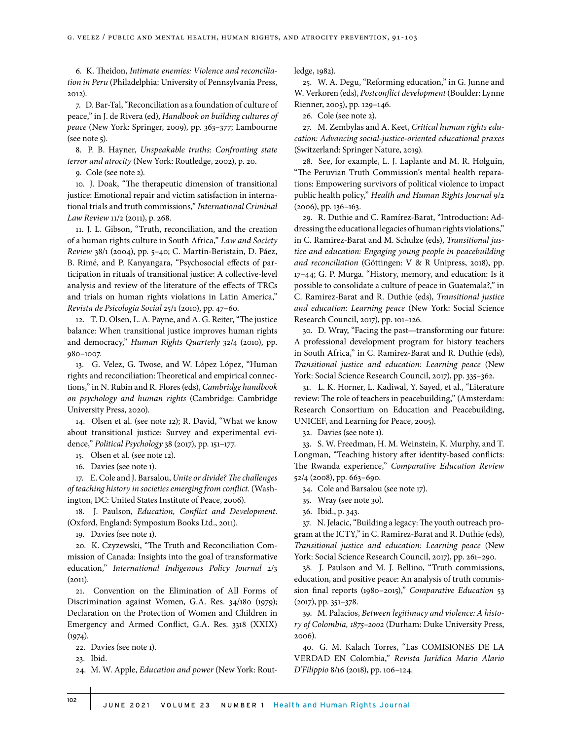6. K. Theidon, *Intimate enemies: Violence and reconciliation in Peru* (Philadelphia: University of Pennsylvania Press, 2012).

7. D. Bar-Tal, "Reconciliation as a foundation of culture of peace," in J. de Rivera (ed), *Handbook on building cultures of peace* (New York: Springer, 2009), pp. 363–377; Lambourne (see note 5).

8. P. B. Hayner, *Unspeakable truths: Confronting state terror and atrocity* (New York: Routledge, 2002), p. 20.

9. Cole (see note 2).

10. J. Doak, "The therapeutic dimension of transitional justice: Emotional repair and victim satisfaction in international trials and truth commissions," *International Criminal Law Review* 11/2 (2011), p. 268.

11. J. L. Gibson, "Truth, reconciliation, and the creation of a human rights culture in South Africa," *Law and Society Review* 38/1 (2004), pp. 5–40; C. Martín-Beristain, D. Páez, B. Rimé, and P. Kanyangara, "Psychosocial effects of participation in rituals of transitional justice: A collective-level analysis and review of the literature of the effects of TRCs and trials on human rights violations in Latin America," *Revista de Psicología Social* 25/1 (2010), pp. 47–60.

12. T. D. Olsen, L. A. Payne, and A. G. Reiter, "The justice balance: When transitional justice improves human rights and democracy," *Human Rights Quarterly* 32/4 (2010), pp. 980–1007.

13. G. Velez, G. Twose, and W. López López, "Human rights and reconciliation: Theoretical and empirical connections," in N. Rubin and R. Flores (eds), *Cambridge handbook on psychology and human rights* (Cambridge: Cambridge University Press, 2020).

14. Olsen et al. (see note 12); R. David, "What we know about transitional justice: Survey and experimental evidence," *Political Psychology* 38 (2017), pp. 151–177.

15. Olsen et al. (see note 12).

16. Davies (see note 1).

17. E. Cole and J. Barsalou, *Unite or divide? The challenges of teaching history in societies emerging from conflict*. (Washington, DC: United States Institute of Peace, 2006).

18. J. Paulson, *Education, Conflict and Development*. (Oxford, England: Symposium Books Ltd., 2011).

19. Davies (see note 1).

20. K. Czyzewski, "The Truth and Reconciliation Commission of Canada: Insights into the goal of transformative education," *International Indigenous Policy Journal* 2/3  $(2011).$ 

21. Convention on the Elimination of All Forms of Discrimination against Women, G.A. Res. 34/180 (1979); Declaration on the Protection of Women and Children in Emergency and Armed Conflict, G.A. Res. 3318 (XXIX)  $(1974).$ 

22. Davies (see note 1).

23. Ibid.

24. M. W. Apple, *Education and power* (New York: Rout-

ledge, 1982).

25. W. A. Degu, "Reforming education," in G. Junne and W. Verkoren (eds), *Postconflict development* (Boulder: Lynne Rienner, 2005), pp. 129–146.

26. Cole (see note 2).

27. M. Zembylas and A. Keet, *Critical human rights education: Advancing social-justice-oriented educational praxes* (Switzerland: Springer Nature, 2019).

28. See, for example, L. J. Laplante and M. R. Holguin, "The Peruvian Truth Commission's mental health reparations: Empowering survivors of political violence to impact public health policy," *Health and Human Rights Journal* 9/2 (2006), pp. 136–163.

29. R. Duthie and C. Ramírez-Barat, "Introduction: Addressing the educational legacies of human rights violations," in C. Ramirez-Barat and M. Schulze (eds), *Transitional justice and education: Engaging young people in peacebuilding and reconciliation* (Göttingen: V & R Unipress, 2018), pp. 17–44; G. P. Murga. "History, memory, and education: Is it possible to consolidate a culture of peace in Guatemala?," in C. Ramirez-Barat and R. Duthie (eds), *Transitional justice and education: Learning peace* (New York: Social Science Research Council, 2017), pp. 101–126.

30. D. Wray, "Facing the past—transforming our future: A professional development program for history teachers in South Africa," in C. Ramirez-Barat and R. Duthie (eds), *Transitional justice and education: Learning peace* (New York: Social Science Research Council, 2017), pp. 335–362.

31. L. K. Horner, L. Kadiwal, Y. Sayed, et al., "Literature review: The role of teachers in peacebuilding," (Amsterdam: Research Consortium on Education and Peacebuilding, UNICEF, and Learning for Peace, 2005).

32. Davies (see note 1).

33. S. W. Freedman, H. M. Weinstein, K. Murphy, and T. Longman, "Teaching history after identity-based conflicts: The Rwanda experience," *Comparative Education Review* 52/4 (2008), pp. 663–690.

34. Cole and Barsalou (see note 17).

35. Wray (see note 30).

36. Ibid., p. 343.

37. N. Jelacic, "Building a legacy: The youth outreach program at the ICTY," in C. Ramirez-Barat and R. Duthie (eds), *Transitional justice and education: Learning peace* (New York: Social Science Research Council, 2017), pp. 261–290.

38. J. Paulson and M. J. Bellino, "Truth commissions, education, and positive peace: An analysis of truth commission final reports (1980–2015)," *Comparative Education* 53 (2017), pp. 351–378.

39. M. Palacios, *Between legitimacy and violence: A history of Colombia, 1875–2002* (Durham: Duke University Press, 2006).

40. G. M. Kalach Torres, "Las COMISIONES DE LA VERDAD EN Colombia," *Revista Jurídica Mario Alario D'Filippio* 8/16 (2018), pp. 106–124.